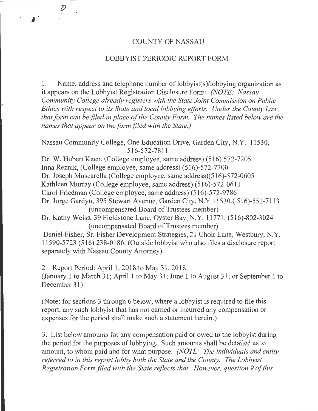### COUNTY OF NASSAU

### LOBBYIST PERIODIC REPORT FORM

1. Name, address and telephone number of  $\text{lobbyist}(s)/\text{lobbying organization as}$ it appears on the Lobbyist Registration Disclosure Form: *(NOTE: Nassau Community College already registers with the State Joint Commission on Public Ethics with respect to its State and local lobbying efforts. Under the County Law, that form can be filed in place of the County Form. The names listed below are the names that appear on the form filed with the State.)* 

Nassau Community College, One Education Drive, Garden City, N.Y. 11530, 516-572-7811

Dr. W. Hubert Keen, (College employee, same address) (516) 572-7205 InnaReznik, (College employee, same address) (516)-572-7700 Dr. Joseph Muscarella (College employee, same address)(516)-572-0605 Kathleen Murray (College employee, same address) (516)-572-0611 Carol Friedman (College employee, same address) (516)-572-9786 Dr. Jorge Gardyn, 395 Stewart Avenue, Garden City, N.Y 11530,( 516)-551-7113 (uncompensated Board of Trustees member) Dr. Kathy Weiss, 39 Fieldstone Lane, Oyster Bay, N.Y. 11771, (516)-802-3024 (uncompensated Board of Trustees member) Daniel Fisher, Sr. Fisher Development Strategies, 21 Choir Lane, Westbury, N.Y. 11590-5723 (516) 238-0186. (Outside lobbyist who also files a disclosure report

separately with Nassau County Attorney).

r

2. Report Period: April 1, 2018 to May 31, 2018 (January 1 to March 31; April 1 to May 31; June 1 to August 31; or September 1 to December 31)

(Note: for sections 3 through 6 below, where a lobbyist is required to file this report, any such lobbyist that has not earned or incurred any compensation or expenses for the period shall make such a statement herein.)

3. List below amounts for any compensation paid or owed to the lobbyist during the period for the purposes of lobbying. Such amounts shall be detailed as to amount, to whom paid and for what purpose. *(NOTE: The individuals and entity referred to in this report lobby both the State and the County. The Lobbyist Registration Form filed with the State reflects that. However, question 9 of this* 

- -------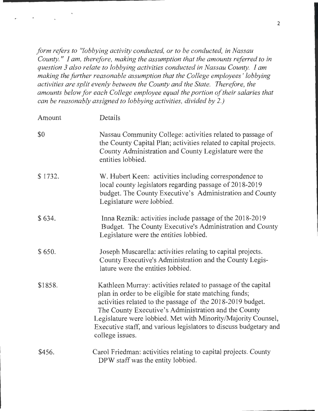*form refers to "lobbying activity conducted, or to be conducted, in Nassau County.* " *I am, therefore, making the assumption that the amounts referred to in question 3 also relate to lobbying activities conducted in Nassau County. I am making the further reasonable assumption that the College employees* ' *lobbying activities are split evenly between the County and the State. Therefore, the amounts below for each College employee equal the portion of their salaries that can be reasonably assigned to lobbying activities, divided by 2.)* 

| Amount  | Details                                                                                                                                                                                                                                                                                                                                                                                                |
|---------|--------------------------------------------------------------------------------------------------------------------------------------------------------------------------------------------------------------------------------------------------------------------------------------------------------------------------------------------------------------------------------------------------------|
| \$0     | Nassau Community College: activities related to passage of<br>the County Capital Plan; activities related to capital projects.<br>County Administration and County Legislature were the<br>entities lobbied.                                                                                                                                                                                           |
| \$1732. | W. Hubert Keen: activities including correspondence to<br>local county legislators regarding passage of 2018-2019<br>budget. The County Executive's Administration and County<br>Legislature were lobbied.                                                                                                                                                                                             |
| \$634.  | Inna Reznik: activities include passage of the 2018-2019<br>Budget. The County Executive's Administration and County<br>Legislature were the entities lobbied.                                                                                                                                                                                                                                         |
| \$650.  | Joseph Muscarella: activities relating to capital projects.<br>County Executive's Administration and the County Legis-<br>lature were the entities lobbied.                                                                                                                                                                                                                                            |
| \$1858. | Kathleen Murray: activities related to passage of the capital<br>plan in order to be eligible for state matching funds;<br>activities related to the passage of the 2018-2019 budget.<br>The County Executive's Administration and the County<br>Legislature were lobbied. Met with Minority/Majority Counsel,<br>Executive staff, and various legislators to discuss budgetary and<br>college issues. |
| \$456.  | Carol Friedman: activities relating to capital projects. County<br>DPW staff was the entity lobbied.                                                                                                                                                                                                                                                                                                   |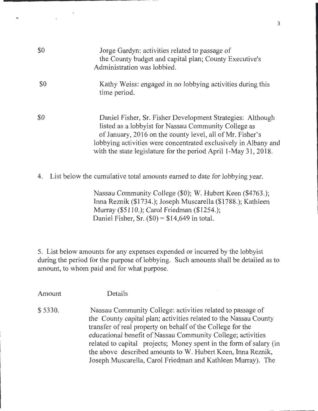| \$0 | Jorge Gardyn: activities related to passage of<br>the County budget and capital plan; County Executive's<br>Administration was lobbied.                                                                                                                                                                               |
|-----|-----------------------------------------------------------------------------------------------------------------------------------------------------------------------------------------------------------------------------------------------------------------------------------------------------------------------|
| \$0 | Kathy Weiss: engaged in no lobbying activities during this<br>time period.                                                                                                                                                                                                                                            |
| \$0 | Daniel Fisher, Sr. Fisher Development Strategies: Although<br>listed as a lobbyist for Nassau Community College as<br>of January, 2016 on the county level, all of Mr. Fisher's<br>lobbying activities were concentrated exclusively in Albany and<br>with the state legislature for the period April 1-May 31, 2018. |
| 4.  | List below the cumulative total amounts earned to date for lobbying year.                                                                                                                                                                                                                                             |

Nassau Community College (\$0); W. Hubert Keen (\$4763.); Inna Reznik (\$1734.); Joseph Muscarella (\$1788.); Kathleen Murray (\$5110.); Carol Friedman (\$1254.); Daniel Fisher, Sr.  $(\$0) = \$14,649$  in total.

5. List below amounts for any expenses expended or incurred by the lobbyist during the period for the purpose of lobbying. Such amounts shall be detailed as to amount, to whom paid and for what purpose.

Amount Details

\$ 5330. Nassau Community College: activities related to passage of the County capital plan; activities related to the Nassau County transfer of real property on behalf of the College for the educational benefit of Nassau Community College; activities related to capital projects; Money spent in the form of salary (in the above described amounts toW. Hubert Keen, Inna Reznik, Joseph Muscarella, Carol Friedman and Kathleen Murray). The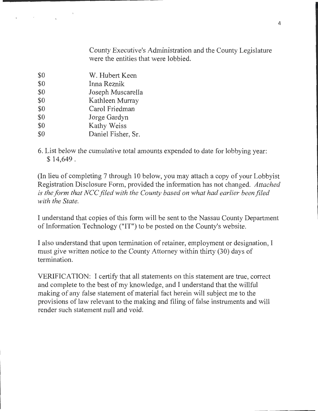County Executive's Administration and the County Legislature were the entities that were lobbied.

\$0 \$0 \$0 \$0 \$0 \$0 \$0 \$0 W. Hubert Keen Inna Reznik Joseph Muscarella Kathleen Murray Carol Friedman Jorge Gardyn Kathy Weiss Daniel Fisher, Sr.

 $\mathcal{L}(\mathcal{A})$  and  $\mathcal{A}(\mathcal{A})$ 

6. List below the cumulative total amounts expended to date for lobbying year: \$ 14,649.

(In lieu of completing 7 through 10 below, you may attach a copy of your Lobbyist Registration Disclosure Form, provided the information has not changed. *Attached is the form that NCC filed with the County based on what had earlier been filed with the State.* 

I understand that copies of this form will be sent to the Nassau County Department of Information Technology ("IT") to be posted on the County's website.

I also understand that upon termination of retainer, employment or designation, I must give written notice to the County Attorney within thirty (30) days of termination.

VERIFICATION: I certify that all statements on this statement are true, correct and complete to the best of my knowledge, and I understand that the willful making of any false statement of material fact herein will subject me to the provisions of law relevant to the making and filing of false instruments and will render such statement null and void.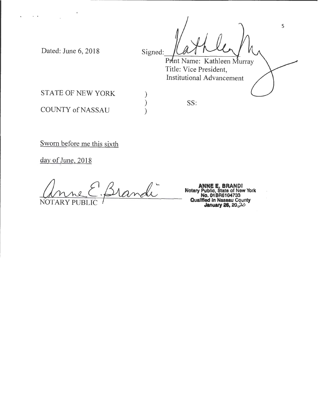Dated: June 6, 2018

 $\mathbf{A}=\mathbf{A}^{(1)}$  ,  $\mathbf{A}^{(2)}$  ,  $\mathbf{A}^{(3)}$ 

Signed: DUA PULLY V Title: Vice President, Institutional Advancement 5

STATE OF NEW YORK

SS:

) ) )

COUNTY of NASSAU

Sworn before me this sixth

day of June, 2018

andi NOTA

**ANNE E. BRANDl Notary Public, State of New York No. 01BR6104733**<br>**Qualified in Nassau County**<br>**January 26, 20**<sub>c</sub>20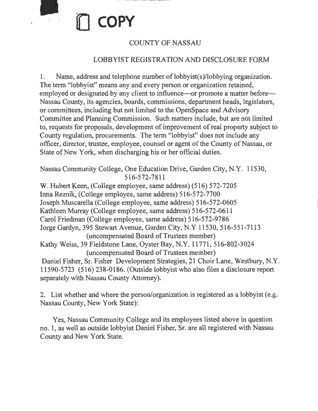

# COUNTY OF NASSAU

## LOBBYIST REGISTRATION AND DISCLOSURE FORM

1. Name, address and telephone number of lobbyist(s)/lobbying organization. The term "lobbyist" means any and every person or organization retained, employed or designated by any client to influence—or promote a matter before— Nassau County, its agencies, boards, commissions, department heads, legislators, or committees, including but not limited to the OpenSpace and Advisory Committee and Planning Commission. Such matters include, but are not limited to, requests for proposals, development of improvement of real property subject to County regulation, procurements. The term "lobbyist" does not include any officer, director, trustee, employee, counsel or agent of the County of Nassau, or State of New York, when discharging his or her official duties.

Nassau Community College, One Education Drive, Garden City, N.Y. 11530, 516-572-7811

W. Hubert Keen, (College employee, same address) (516) 572-7205 Inna Reznik, (College employee, same address) 516-572-7700 Joseph Muscarella (College employee, same address) 516-572-0605 Kathleen Murray (College employee, same address) 516-572-0611 Carol Friedman (College employee, same address) 516-572-9786 Jorge Gardyn, 395 Stewart Avenue, Garden City, N.Y 11530, 516-551-7113 (uncompensated Board of Trustees member) Kathy Weiss, 39 Fieldstone Lane, Oyster Bay, N.Y. 11771, 516-802-3024 (uncompensated Board of Trustees member) Daniel Fisher, Sr. Fisher Development Strategies, 21 Choir Lane, Westbury, N.Y. 11590-5723 (516) 238-0186. (Outside lobbyist who also files a disclosure report separately with Nassau County Attorney).

2. List whether and where the person/organization is registered as a lobbyist (e.g. Nassau County, New York State):

Yes, Nassau Community College and its employees listed above in question no. 1, as well as outside lobbyist Daniel Fisher, Sr. are all registered with Nassau County and New York State.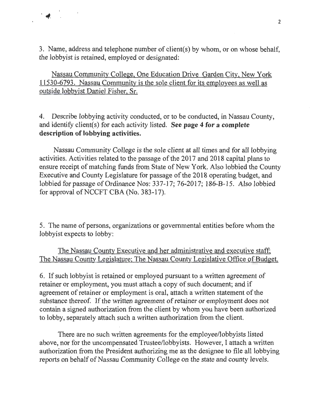3. Name, address and telephone number of client(s) by whom, or on whose behalf, the lobbyist is retained, employed or designated:

 $\mathcal{L}$ 

Nassau Community College, One Education Drive Garden City, New York 11530-6793. Nassau Community is the sole client for its employees as well as outside lobbyist Daniel Fisher, Sr.

4. Describe lobbying activity conducted, or to be conducted, in Nassau County, and identify client(s) for each activity listed. **See page 4 for a complete description of lobbying activities.** 

Nassau Community College is the sole client at all times and for all lobbying activities. Activities related to the passage of the 2017 and 2018 capital plans to ensure receipt of matching funds from State of New York. Also lobbied the County Executive and County Legislature for passage of the 2018 operating budget, and lobbied for passage of Ordinance Nos: 337-17; 76-2017; 186-B-15. Also lobbied for approval of NCCFT CBA (No. 383-17).

5. The name of persons, organizations or governmental entities before whom the lobbyist expects to lobby:

## The Nassau County Executive and her administrative and executive staff; The Nassau County Legislature; The Nassau County Legislative Office of Budget.

6. If such lobbyist is retained or employed pursuant to a written agreement of retainer or employment, you must attach a copy of such document; and if agreement of retainer or employment is oral, attach a written statement of the substance thereof. If the written agreement of retainer or employment does not contain a signed authorization from the client by whom you have been authorized to lobby, separately attach such a written authorization from the client.

There are no such written agreements for the employee/lobbyists listed above, nor for the uncompensated Trustee/lobbyists. However, I attach a written authorization from the President authorizing me as the designee to file all lobbying reports on behalf of Nassau Community College on the state and county levels.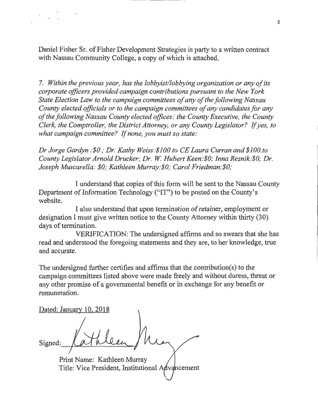Daniel Fisher Sr. of Fisher Development Strategies is party to a written contract with Nassau Community College, a copy of which is attached.

7. *Within the previous year, has the lobbyist/lobbying organization or any of its corporate officers provided campaign contributions pursuant to the New York State Election Law to the campaign committees of any of the following Nassau County elected officials or to the campaign committees of any candidates for any of the following Nassau County elected offices: the County Executive, the County Clerk, the Comptroller, the District Attorney, or any County Legislator?* If *yes, to what campaign committee?* If *none, you must so state:* 

*Dr Jorge Gardyn :\$0; Dr. Kathy Weiss:\$100 to CE Laura Curran and \$100.to County Legislator Arnold Drucker; Dr. W Hubert Keen:\$0; Inna Reznik:\$0; Dr. Joseph Muscarella: \$0; Kathleen Murray:\$0; Carol Friedman:\$0,·* 

I understand that copies of this form will be sent to the Nassau County Department of Information Technology ("IT") to be posted on the County's website.

I also understand that upon termination of retainer, employment or designation I must give written notice to the County Attorney within thirty (30) days of termination.

VERIFICATION: The undersigned affirms and so swears that she has read and understood the foregoing statements and they are, to her knowledge, true and accurate.

The undersigned further certifies and affirms that the contribution( s) to the campaign committees listed above were made freely and without duress, threat or any other promise of a governmental benefit or in exchange for any benefit or remuneration.

Dated: January 10, 2018 Signed:

Print Name: Kathleen Murray Title: Vice President, Institutional Advancement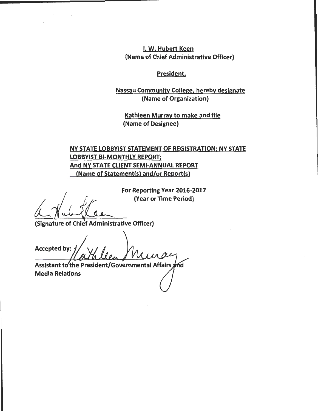I, W. Hubert Keen {Name of Chief Administrative Officer)

### President,

### Nassau Community College, hereby designate {Name of Organization)

Kathleen Murray to make and file (Name of Designee)

## NY STATE LOBBYIST STATEMENT OF REGISTRATION; NY STATE LOBBYIST BI-MONTHLY REPORT; And NY STATE CLIENT SEMI-ANNUAL REPORT (Name of Statement(s) and/or Report(s)

For Reporting Year 2016-2017 (Year or Time Period)

(Signature of Chief Administrative Officer)

Accepted by:

Assistant to the President/Governmental Affairs Media Relations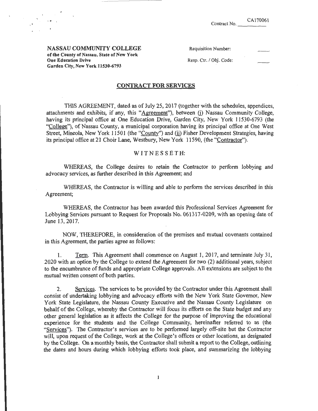NASSAU COMMUNITY COLLEGE of the County of Nassau, State of New York One Education Drive Garden City, New York 11530-6793

..

Requisition Number:

Resp. Ctr. / Obj. Code:

#### CONTRACT FOR SERVICES

THIS AGREEMENT, dated as of July 25, 2017 (together with the schedules, appendices, attachments and exhibits, if any, this "Agreement"), between *(i)* Nassau Community College, having its principal office at One Education Drive, Garden City, New York 11530-6793 (the "College"), of Nassau County, a municipal corporation having its principal office at One West Street, Mineola, New York 11501 (the "County") and (ii) Fisher Development Strategies, having its principal office at 21 Choir Lane, Westbury, New York 11590, (the "Contractor").

#### W IT N E S S E T H:

WHEREAS, the College desires to retain the Contractor to perform lobbying and advocacy services, as further described in this Agreement; and

WHEREAS, the Contractor is willing and able to perform the services described in this Agreement;

WHEREAS, the Contractor has been awarded this Professional Services Agreement for Lobbying Services pursuant to Request for Proposals No. 061317-0209, with an opening date of June 13, 2017.

NOW, THEREFORE, in consideration of the premises and mutual covenants contained in this Agreement, the parties agree as follows:

1. Term. This Agreement shall commence on August 1, 2017, and terminate July 31, 2020 with an option by the College to extend the Agreement for two (2) additional years, subject to the encumbrance of funds and appropriate College approvals. All extensions ate subject to the mutual written consent of both parties.

2. Services. The services to be provided by the Contractor under this Agreement shall consist of undertaking lobbying and advocacy efforts with the New York State Governor, New York State Legislature, the Nassau County Executive and the Nassau County Legislature on behalf of the College, whereby the Contractor will focus its efforts on the State budget and any other general legislation as it affects the College for the purpose of improving the educational experience for the students and the College Community, hereinafter referred to as (the "Services"). The Contractor's services are to be performed largely off-site but the Contractor will, upon request of the College, work at the College's offices or other locations, as designated by the College. On a monthly basis, the Contractor shall submit a report to the College, outlining the dates and hours during which lobbying efforts took place, and summarizing the lobbying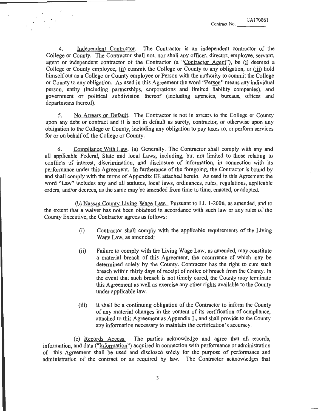4. Independent Contractor. The Contractor is an independent contractor of the College or County. The Contractor shall not, nor shall any officer, director, employee, servant, agent or independent contractor of the Contractor (a "Contractor Agent"), be (i) deemed a College or County employee, (ii) commit the College or County to any obligation, or (iii) hold himself out as a College or County employee or Person with the authority to commit the College or County to any obligation. As used in this Agreement the word "Person" means any individual person, entity (including partnerships, corporations and limited liability companies), and government or political subdivision thereof (including agencies, bureaus, offices and departments thereof).

5. No Arrears or Default. The Contractor is not in arrears to the College or County upon any debt or contract and it is not in default as surety, contractor, or otherwise upon any obligation to the College or County, including any obligation to pay taxes to, or perform services for or on behalf of, the College or County.

6. Compliance With Law. (a) Generally. The Contractor shall comply with any and all applicable Federal, State and local Laws, including, but not limited to those relating to conflicts of interest, discrimination, and disclosure of information, in connection with its performance under this Agreement. In furtherance of the foregoing, the Contractor is bound by and shall comply with the terms of Appendix EE attached hereto. As used in this Agreement the word "Law" includes any and all statutes, local laws, ordinances, rules, regulations, applicable orders, and/or decrees, as the same may be amended from time to time, enacted, or adopted.

(b) Nassau County Living Wage Law. Pursuant to LL 1-2006, as amended, and to the extent that a waiver has not been obtained in accordance with such law or any rules of the County Executive, the Contractor agrees as follows:

- (i) Contractor shall comply with the applicable requirements of the Living Wage Law, as amended;
- (ii) Failure to comply with the Living Wage Law, as amended, may constitute a material breach of this Agreement, the occurrence of which may be determined solely by the County. Contractor has the right to cure such breach within thirty days of receipt of notice of breach from the County. In the event that such breach is not timely cured, the County may terminate this Agreement as well as exercise any other rights available to the County under applicable law.
- (iii) It shall be a continuing obligation of the Contractor to inform the County of any material changes in the content of its certification of compliance, attached to this Agreement as Appendix L, and shall provide to the County any information necessary to maintain the certification's accuracy.

(c) Records Access. The parties acknowledge and agree that all records, information, and data ("Information") acquired in connection with performance or administration of this Agreement shall be used and disclosed solely for the purpose of performance and administration of the contract or as required by law. The Contractor acknowledges that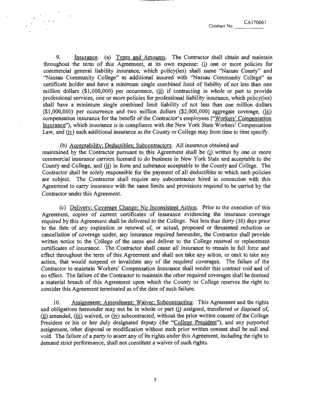CA170061

9. Insurance. (a) Types and Amounts. The Contractor shall obtain and maintain throughout the term of this Agreement, at its own expense:  $(i)$  one or more policies for commercial general liability insurance, which policy(ies) shall name "Nassau County" and ''Nassau Community College" as additional insured with ''Nassau Community College" as certificate holder and have a minimum single combined limit of liability of not less than one million dollars  $(\text{$}1,000,000)$  per occurrence, (ii) if contracting in whole or part to provide professional services, one or more policies for professional liability insurance, which policy(ies) shall have a minimum single combined limit liability of not less than one million dollars  $($1,000,000)$  per occurrence and two million dollars  $($2,000,000)$  aggregate coverage, (iii) compensation insurance for the benefit of the Contractor's employees ("Workers' Compensation Insurance"), which insurance is in compliance with the New York State Workers' Compensation Law, and (iv) such additional insurance as the County or College may from time to time specify.

(b) Acceptability; Deductibles; Subcontractors. All insurance obtained and maintained by the Contractor pursuant to this Agreement shall be (i) written by one or more commercial insurance carriers licensed to do business in New York State and acceptable to the County and College, and (ii) in form and substance acceptable to the County and College. The Contractor shall be solely responsible for the payment of all deductibles to which such policies are subject. The Contractor shall require any subcontractor hired in connection with this Agreement to carry insurance with the same limits and provisions required to be carried by the Contractor under this Agreement.

(c) Delivery: Coverage Change; No Inconsistent Action. Prior to the execution of this Agreement, copies of current certificates of insurance evidencing the insurance coverage required by this Agreement shall be delivered to the College. Not less than thirty (30) days prior to the date of any expiration or renewal of, or actual, proposed or threatened reduction or cancellation of coverage under, any insurance required hereunder, the Contractor shall provide written notice to the College of the same and deliver to the College renewal or replacement certificates of insurance. The Contractor shall cause all insurance to remain in full force and effect throughout the term of this Agreement and shall not take any action, or omit to take any action, that would suspend or invalidate any of the required coverages. The failure of the Contractor to maintain Workers' Compensation Insurance shall render this contract void and of no effect. The failure of the Contractor to maintain the other required coverages shall be deemed a material breach of this Agreement upon which the County or College reserves the right to consider this Agreement terminated as of the date of such failure.

10. Assignment; Amendment: Waiver; Subcontracting. This Agreement and the rights and obligations hereunder may not be in whole or part  $(i)$  assigned, transferred or disposed of,  $(i)$  amended,  $(iii)$  waived, or  $(iv)$  subcontracted, without the prior written consent of the College President or his or her duly designated deputy (the "College President"), and any purported assignment, other disposal or modification without such prior written consent shall be null and void. The failure of a party to assert any of its rights under this Agreement, including the right to demand strict performance, shall not constitute a waiver of such rights.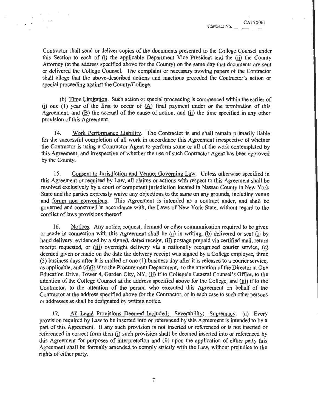Contractor shall send or deliver copies of the documents presented to the College Counsel under this Section to each of  $(i)$  the applicable Department Vice President and the  $(ii)$  the County Attorney (at the address specified above for the County) on the same day that documents are sent or delivered the College Counsel. The complaint or necessary moving papers of the Contractor shall allege that the above-described actions and inactions preceded the Contractor's action or special proceeding against the County/College.

(b) Time Limitation. Such action or special proceeding is commenced within the earlier of (i) one (1) year of the first to occur of  $(A)$  final payment under or the termination of this Agreement, and  $(B)$  the accrual of the cause of action, and  $(i)$  the time specified in any other provision of this Agreement.

14. Work Performance Liability. The Contractor is and shall remain primarily liable for the successful completion of all work in accordance this Agreement irrespective of whether the Contractor is using a Contractor Agent to perform some or all of the work contemplated by this Agreement, and irrespective of whether the use of such Contractor Agent has been approved by the County.

15. Consent to Jurisdiction and Venue; Governing Law. Unless otherwise specified in this Agreement or required by Law, all claims or actions with respect to this Agreement shall be resolved exclusively by a court of competent jurisdiction located in Nassau County in New York State and the parties expressly waive any objections to the same on any grounds, including venue and forum non conveniens. This Agreement is intended as a contract under, and shall be governed and construed in accordance with, the Laws of New York State, without regard to the conflict of laws provisions thereof.

16. Notices. Any notice, request, demand or other communication required to be given or made in connection with this Agreement shall be  $(a)$  in writing,  $(b)$  delivered or sent  $(i)$  by hand delivery, evidenced by a signed, dated receipt, (ii) postage prepaid via certified mail, return receipt requested, or  $(iii)$  overnight delivery via a nationally recognized courier service,  $(c)$ deemed given or made on the date the delivery receipt was signed by a College employee, three (3) business days after it is mailed or one (1) business day after it is released to a courier service, as applicable, and  $(d)(i)$  if to the Procurement Department, to the attention of the Director at One Education Drive, Tower 4, Garden City, NY, (ii) if to College's General Counsel's Office, to the attention of the College Counsel at the address specified above for the College, and (iii) if to the Contractor, to the attention of the person who executed this Agreement on behalf of the Contractor at the address specified above for the Contractor, or in each case to such other persons or addresses as shall be designated by written notice.

17. All Legal Provisions Deemed Included: Severability; Supremacy. (a) Every provision required by Law to be inserted into or referenced by this Agreement is intended to be a part of this Agreement. If any such provision is not inserted or referenced or is not inserted or referenced in correct form then (i) such provision shall be deemed inserted into or referenced by this Agreement for purposes of interpretation and  $\langle \hat{H} \rangle$  upon the application of either party this Agreement shall be formally amended to comply strictly with the Law, without prejudice to the rights of either party.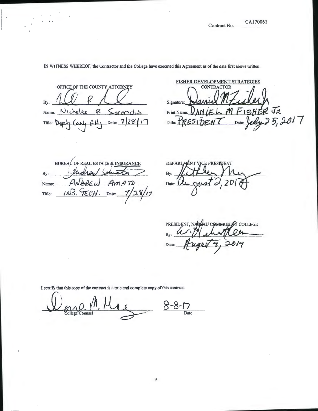CA170061<br>Contract No.

# . ' CA170061

IN WITNESS WHEREOF, the Contractor and the College have executed this Agreement as of the date first above written.

OFFICE OF THE COUNTY ATTORNEY By: Name: Nicholas  $P$  $Sarodis$ Date:  $7/28/17$ Title:

FISHER DEVELOPMENT STRATEGIES Daniel M Zigherh<br>Daniel M Figher Ja Signature: Signature: Daniel MZuchech Title: PRESIDENT Date: July 25, 2017

BUREAU OF REAL ESTATE & INSURANCE By: Name: Date: Title:

DEPARTMENT VICE PRESIDENT By: Date:

PRESIDENT, NASSAU COMMUNITY COLLEGE By: Date:

I certify that this copy of the contract is a true and complete copy of this contract.

<u>Lence Counsel M. Mac 8-8-17</u>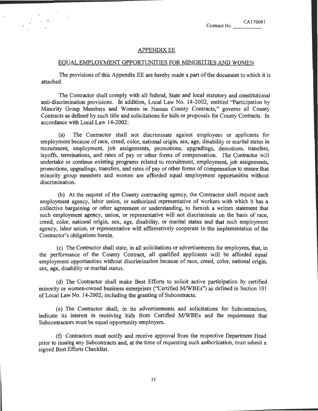#### **APPENDIX EE**

#### EQUAL EMPLOYMENT OPPORTUNITIES FOR MINORITIES AND WOMEN

The provisions of this Appendix EE are hereby made a part ofthe document to which it is attached.

The Contractor shall comply with all federal, State and local statutory and constitutional anti-discrimination provisions. In addition, Local Law No. 14-2002, entitled "Participation by Minority Group Members and Women in Nassau County Contracts," governs all County Contracts as defined by such title and solicitations for bids or proposals for County Contracts. In accordance with Local Law 14-2002:

(a) The Contractor shall not discriminate against employees or applicants for employment because of race, creed, color, national origin, sex, age, disability or marital status in recruitment, employment, job assignments, promotions, upgradings, demotions, transfers, layoffs, terminations, and rates of pay or other forms of compensation. The Contractor will undertake or continue existing programs related to recruitment, employment, job assignments, promotions, upgradings, transfers, and rates of pay or other forms of compensation to ensure that minority group members and women are afforded equal employment opportunities without discrimination.

(b) At the request of the County contracting agency, the Contractor shall request each employment agency, labor union, or authorized representative of workers with which it has a collective bargaining or other agreement or understanding, to furnish a written statement that such employment agency, union, or representative will not discriminate on the basis of race, creed, color, national origin, sex, age, disability, or marital status and that such employment agency, labor union, or representative will affirmatively cooperate in the implementation of the Contractor's obligations herein.

(c) The Contractor shall state, in all solicitations or advertisements for employees, that, in the performance of the County Contract, all qualified applicants will be afforded equal employment opportunities without discrimination because of race, creed, color, national origin, sex, age, disability or marital status.

(d) The Contractor shall make Best Efforts to solicit active participation by certified minority or women-owned business enterprises ("Certified M/WBEs") as defined in Section 101 of Local Law No. 14-2002, including the granting of Subcontracts.

(e) The Contractor shall, in its advertisements and solicitations for Subcontractors, indicate its interest in receiving bids from Certified M/WBEs and the requirement that Subcontractors must be equal opportunity employers.

(f) Contractors must notify and receive approval from the respective Department Head prior to issuing any Subcontracts and, at the time of requesting such authorization, must submit a signed Best Efforts Checklist.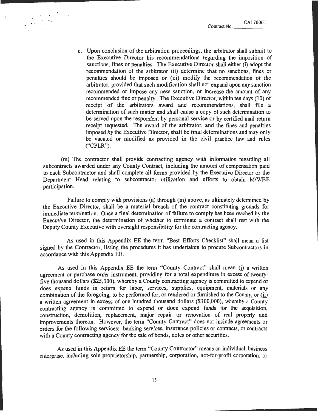c. Upon conclusion of the arbitration proceedings, the arbitrator shall submit to the Executive Director his recommendations regarding the imposition of sanctions, fines or penalties. The Executive Director shall either (i) adopt the recommendation of the arbitrator (ii) determine that no sanctions, fines or penalties should be imposed or (iii) modify the recommendation of the arbitrator, provided that such modification shal1 not expand upon any sanction recommended or impose any new sanction, or increase the amount of any recommended fine or penalty. The Executive Director, within ten days (10) of receipt of the arbitrators award and recommendations, shall file a determination of such matter and shall cause a copy of such determination to be served upon the respondent by personal service or by certified mail return receipt requested. The award of the arbitrator, and the fines and penalties imposed by the Executive Director, shall be final determinations and may only be vacated or modified as provided in the civil practice law and rules ("CPLR").

(m) The contractor shall provide contracting agency with information regarding all subcontracts awarded under any County Contract, including the amount of compensation paid to each Subcontractor and shall complete all forms provided by the Executive Director or the Department Head relating to subcontractor utilization and efforts to obtain M/WBE participation..

Failure to comply with provisions (a) through (m) above, as ultimately determined by the Executive Director, shall be a material breach of the contract constituting grounds for immediate termination. Once a final determination of failure to comply has been reached by the Executive Director, the determination of whether to terminate a contract shall rest with the Deputy County Executive with oversight responsibility for the contracting agency.

As used in this Appendix EE the term "Best Efforts Checklist" shall mean a list signed by the Contractor, listing the procedures it has undertaken to procure Subcontractors in accordance with this Appendix EE.

As used in this Appendix EE the term "County Contract" shall mean (i) a written agreement or purchase order instrument, providing for a total expenditure in excess of twentyfive thousand dollars (\$25,000), whereby a County contracting agency is committed to expend or does expend funds in return for labor, services, supplies, equipment, materials or any combination of the foregoing, to be performed for, or rendered or furnished to the County; or (ii) a written agreement in excess of one hundred thousand dollars (\$100,000), whereby a County contracting agency is committed to expend or does expend funds for the acquisition, construction, demolition, replacement, major repair or renovation of real property and improvements thereon. However, the term "County Contract" does not include agreements or orders for the following services: banking services, insurance policies or contracts, or contracts with a County contracting agency for the sale of bonds, notes or other securities.

As used in this Appendix EE the term "County Contractor" means an individual, business enterprise, including sole proprietorship, partnership, corporation, not-for-profit corporation, or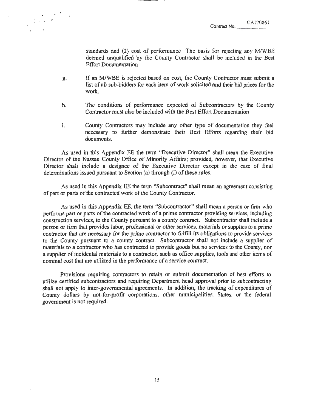standards and (2) cost of performance The basis for rejecting any M/WBE deemed unqualified by the County Contractor shall be included in the Best Effort Documentation

g. If an MIWBE is rejected based on cost, the County Contractor must submit a list of all sub-bidders for each item of work solicited and their bid prices for the work.

' '

- h. The conditions of performance expected of Subcontractors by the County Contractor must also be included with the Best Effort Documentation
- i. County Contractors may include any other type of documentation they feel necessary to further demonstrate their Best Efforts regarding their bid documents.

As used in this Appendix EE the term "Executive Director" shall mean the Executive Director of the Nassau County Office of Minority Affairs; provided, however, that Executive Director shall include a designee of the Executive Director except in the case of final determinations issued pursuant to Section  $(a)$  through  $(I)$  of these rules.

As used in this Appendix EE the term "Subcontract" shall mean an agreement consisting of part or parts of the contracted work of the County Contractor.

As used in this Appendix EE, the term "Subcontractor" shall mean a person or finn who performs part or parts of the contracted work of a prime contractor providing services, including construction services, to the County pursuant to a county contract. Subcontractor shall include a person or firm that provides labor, professional or other services, materials or supplies to a prime contractor that are necessary for the prime contractor to fulfill its obligations to provide services to the County pursuant to a county contract. Subcontractor shall not include a supplier of materials to a contractor who has contracted to provide goods but no services to the County, nor a supplier of incidental materials to a contractor, such as office supplies, tools and other items of nominal cost that are utilized in the performance of a service contract.

Provisions requiring contractors to retain or submit documentation of best efforts to utilize certified subcontractors and requiring Department head approval prior to subcontracting shall not apply to inter-governmental agreements. In addition, the tracking of expenditures of County dollars by not-for-profit corporations, other municipalities, States, or the federal government is not required.